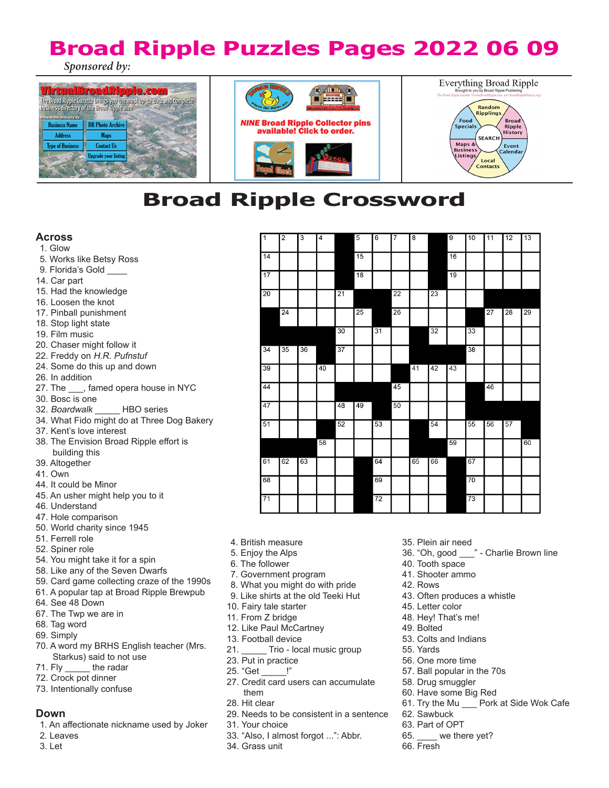### **Broad Ripple Puzzles Pages 2022 06 09** *Sponsored by:*







## **Broad Ripple Crossword**

#### **Across**

#### 1. Glow

- 5. Works like Betsy Ross
- 9. Florida's Gold
- 14. Car part
- 15. Had the knowledge
- 16. Loosen the knot
- 17. Pinball punishment
- 18. Stop light state
- 19. Film music
- 20. Chaser might follow it
- 22. Freddy on H.R. Pufnstuf
- 24. Some do this up and down
- 26. In addition
- 27. The \_\_\_, famed opera house in NYC
- 30. Bosc is one
- 32. Boardwalk HBO series
- 34. What Fido might do at Three Dog Bakery
- 37. Kent's love interest
- 38. The Envision Broad Ripple effort is building this
- 39. Altogether
- 41. Own
- 44. It could be Minor
- 45. An usher might help you to it
- 46. Understand
- 47. Hole comparison
- 50. World charity since 1945
- 51. Ferrell role
- 52. Spiner role
- 54. You might take it for a spin
- 58. Like any of the Seven Dwarfs
- 59. Card game collecting craze of the 1990s
- 61. A popular tap at Broad Ripple Brewpub
- 64. See 48 Down
- 67. The Twp we are in
- 68. Tag word
- 69. Simply
- 70. A word my BRHS English teacher (Mrs. Starkus) said to not use<br>71. Fly \_\_\_\_\_ the radar
- the radar
- 72. Crock pot dinner
- 73. Intentionally confuse

#### **Down**

- 1. An affectionate nickname used by Joker
- 2. Leaves
- 3. Let

| $\overline{1}$ | $\overline{2}$ | 3  | $\overline{4}$ |    | 5  | 6  | 7  | $\overline{8}$ |    | $\overline{9}$ | 10 | 11 | 12 | 13 |
|----------------|----------------|----|----------------|----|----|----|----|----------------|----|----------------|----|----|----|----|
| 14             |                |    |                |    | 15 |    |    |                |    | 16             |    |    |    |    |
| 17             |                |    |                |    | 18 |    |    |                |    | 19             |    |    |    |    |
| 20             |                |    |                | 21 |    |    | 22 |                | 23 |                |    |    |    |    |
|                | 24             |    |                |    | 25 |    | 26 |                |    |                |    | 27 | 28 | 29 |
|                |                |    |                | 30 |    | 31 |    |                | 32 |                | 33 |    |    |    |
| 34             | 35             | 36 |                | 37 |    |    |    |                |    |                | 38 |    |    |    |
| 39             |                |    | 40             |    |    |    |    | 41             | 42 | 43             |    |    |    |    |
| 44             |                |    |                |    |    |    | 45 |                |    |                |    | 46 |    |    |
| 47             |                |    |                | 48 | 49 |    | 50 |                |    |                |    |    |    |    |
| 51             |                |    |                | 52 |    | 53 |    |                | 54 |                | 55 | 56 | 57 |    |
|                |                |    | 58             |    |    |    |    |                |    | 59             |    |    |    | 60 |
| 61             | 62             | 63 |                |    |    | 64 |    | 65             | 66 |                | 67 |    |    |    |
| 68             |                |    |                |    |    | 69 |    |                |    |                | 70 |    |    |    |
| 71             |                |    |                |    |    | 72 |    |                |    |                | 73 |    |    |    |

- 4. British measure
- 5. Enjoy the Alps
- 6. The follower
- 7. Government program
- 8. What you might do with pride
- 9. Like shirts at the old Teeki Hut
- 10. Fairy tale starter
- 11. From Z bridge
- 12. Like Paul McCartney
- 13. Football device
- 21. \_\_\_\_\_ Trio local music group
- 23. Put in practice
- 25. "Get \_\_\_\_\_!"
- 27. Credit card users can accumulate them
- 28. Hit clear
- 29. Needs to be consistent in a sentence
- 31. Your choice
- 33. "Also, I almost forgot ...": Abbr.
- 34. Grass unit
- 35. Plein air need
- 36. "Oh, good \_\_\_" Charlie Brown line
- 40. Tooth space
- 41. Shooter ammo
- 42. Rows
- 43. Often produces a whistle
- 45. Letter color
- 48. Hey! That's me!
- 49. Bolted
- 53. Colts and Indians
- 55. Yards
- 56. One more time
- 57. Ball popular in the 70s
- 58. Drug smuggler
- 60. Have some Big Red
- 61. Try the Mu \_\_\_ Pork at Side Wok Cafe
- 62. Sawbuck
- 63. Part of OPT
- 65. \_\_\_\_ we there yet?
- 66. Fresh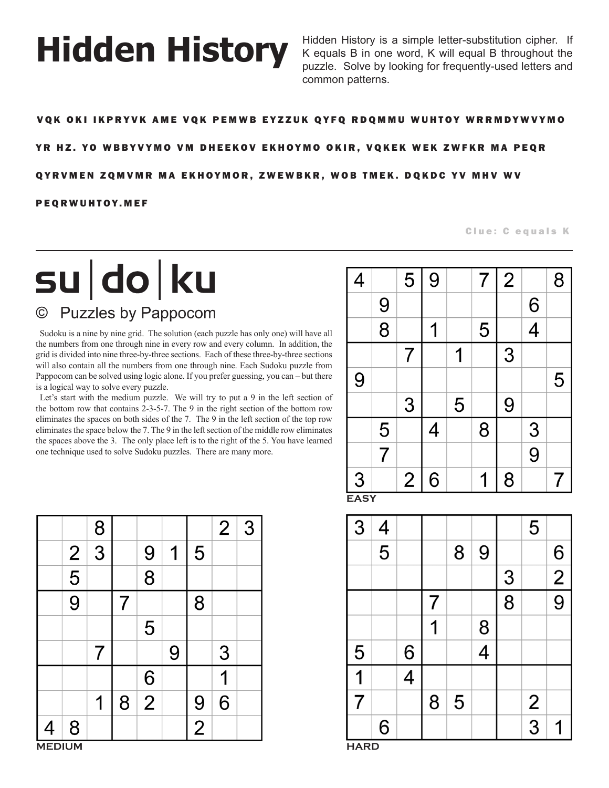# **Hidden History**

Hidden History is a simple letter-substitution cipher. If K equals B in one word, K will equal B throughout the puzzle. Solve by looking for frequently-used letters and common patterns.

#### VQK OKI IKPRYVK AME VQK PEMWB EYZZUK QYFQ RDQMMU WUHTOY WRRMDYWVYMO

#### YR HZ. YO WBBYVYMO VM DHEEKOV EKHOYMO OKIR, VQKEK WEK ZWFKR MA PEQR

#### QYRVMEN ZQMVMR MA EKHOYMOR, ZWEWBKR, WOB TMEK. DQKDC YV MHV WV

#### PEQRWUHTOY.MEF

#### Clue: C equals K

## su do ku © Puzzles by Pappocom

Sudoku is a nine by nine grid. The solution (each puzzle has only one) will have all the numbers from one through nine in every row and every column. In addition, the grid is divided into nine three-by-three sections. Each of these three-by-three sections will also contain all the numbers from one through nine. Each Sudoku puzzle from Pappocom can be solved using logic alone. If you prefer guessing, you can – but there is a logical way to solve every puzzle.

Let's start with the medium puzzle. We will try to put a 9 in the left section of the bottom row that contains 2-3-5-7. The 9 in the right section of the bottom row eliminates the spaces on both sides of the 7. The 9 in the left section of the top row eliminates the space below the 7. The 9 in the left section of the middle row eliminates the spaces above the 3. The only place left is to the right of the 5. You have learned one technique used to solve Sudoku puzzles. There are many more.

| 4 |                | 5              | 9 |   | $\overline{7}$ | $\overline{2}$ |                | 8 |
|---|----------------|----------------|---|---|----------------|----------------|----------------|---|
|   | 9              |                |   |   |                |                | 6              |   |
|   | $\overline{8}$ |                |   |   | 5              |                | $\overline{4}$ |   |
|   |                | 7              |   |   |                | 3              |                |   |
| 9 |                |                |   |   |                |                |                | 5 |
|   |                | 3              |   | 5 |                | 9              |                |   |
|   | 5              |                | 4 |   | 8              |                | $\mathfrak{S}$ |   |
|   | $\overline{7}$ |                |   |   |                |                | $\overline{9}$ |   |
| 3 |                | $\overline{2}$ | 6 |   | 1              | 8              |                |   |

**EASY**



|                | 8 |   |                |   |                |   | $2 \mid 3$ |  | 3           |
|----------------|---|---|----------------|---|----------------|---|------------|--|-------------|
| $\overline{2}$ | 3 |   | 9              | 1 | 5              |   |            |  |             |
| 5              |   |   | 8              |   |                |   |            |  |             |
| 9              |   |   |                |   | 8              |   |            |  |             |
|                |   |   | 5              |   |                |   |            |  |             |
|                |   |   |                | 9 |                | 3 |            |  | 5           |
|                |   |   | 6              |   |                |   |            |  |             |
|                | 1 | 8 | $\overline{2}$ |   | 9              | 6 |            |  |             |
| 8              |   |   |                |   | $\overline{2}$ |   |            |  |             |
| <b>MEDIUM</b>  |   |   |                |   |                |   |            |  | <b>HARD</b> |